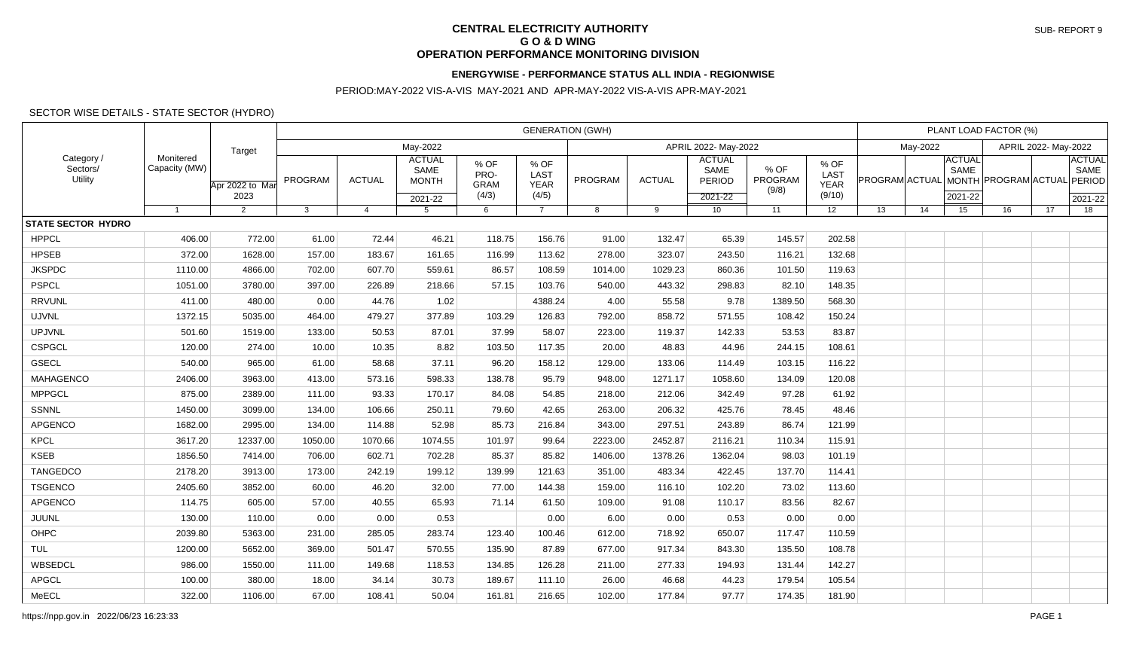## **CENTRAL ELECTRICITY AUTHORITY G O & D WING OPERATION PERFORMANCE MONITORING DIVISION**

## **ENERGYWISE - PERFORMANCE STATUS ALL INDIA - REGIONWISE**

## PERIOD:MAY-2022 VIS-A-VIS MAY-2021 AND APR-MAY-2022 VIS-A-VIS APR-MAY-2021

## SECTOR WISE DETAILS - STATE SECTOR (HYDRO)

| Category /<br>Sectors/<br>Utility | Monitered<br>Capacity (MW) | Target<br>Apr 2022 to Mar<br>2023 | <b>GENERATION (GWH)</b> |                |                                                  |                                      |                                      |                      |               |                                                       |                          |                                       |                      | PLANT LOAD FACTOR (%) |                                  |                       |    |                                            |  |
|-----------------------------------|----------------------------|-----------------------------------|-------------------------|----------------|--------------------------------------------------|--------------------------------------|--------------------------------------|----------------------|---------------|-------------------------------------------------------|--------------------------|---------------------------------------|----------------------|-----------------------|----------------------------------|-----------------------|----|--------------------------------------------|--|
|                                   |                            |                                   | May-2022                |                |                                                  |                                      |                                      | APRIL 2022- May-2022 |               |                                                       |                          |                                       | May-2022             |                       |                                  | APRIL 2022- May-2022  |    |                                            |  |
|                                   |                            |                                   | PROGRAM                 | <b>ACTUAL</b>  | <b>ACTUAL</b><br>SAME<br><b>MONTH</b><br>2021-22 | % OF<br>PRO-<br><b>GRAM</b><br>(4/3) | % OF<br>LAST<br><b>YEAR</b><br>(4/5) | PROGRAM              | <b>ACTUAL</b> | <b>ACTUAL</b><br>SAME<br><b>PERIOD</b><br>$2021 - 22$ | % OF<br>PROGRAM<br>(9/8) | % OF<br>LAST<br><b>YEAR</b><br>(9/10) | PROGRAM ACTUAL MONTH |                       | <b>ACTUAL</b><br>SAME<br>2021-22 | <b>PROGRAM ACTUAL</b> |    | <b>ACTUAL</b><br>SAME<br>PERIOD<br>2021-22 |  |
|                                   | $\overline{1}$             | $\overline{2}$                    | 3                       | $\overline{4}$ | 5                                                | 6                                    | $\overline{7}$                       | 8                    | 9             | 10 <sup>1</sup>                                       | 11                       | 12                                    | 13                   | 14                    | 15                               | 16                    | 17 | 18                                         |  |
| <b>STATE SECTOR HYDRO</b>         |                            |                                   |                         |                |                                                  |                                      |                                      |                      |               |                                                       |                          |                                       |                      |                       |                                  |                       |    |                                            |  |
| <b>HPPCL</b>                      | 406.00                     | 772.00                            | 61.00                   | 72.44          | 46.21                                            | 118.75                               | 156.76                               | 91.00                | 132.47        | 65.39                                                 | 145.57                   | 202.58                                |                      |                       |                                  |                       |    |                                            |  |
| <b>HPSEB</b>                      | 372.00                     | 1628.00                           | 157.00                  | 183.67         | 161.65                                           | 116.99                               | 113.62                               | 278.00               | 323.07        | 243.50                                                | 116.21                   | 132.68                                |                      |                       |                                  |                       |    |                                            |  |
| <b>JKSPDC</b>                     | 1110.00                    | 4866.00                           | 702.00                  | 607.70         | 559.61                                           | 86.57                                | 108.59                               | 1014.00              | 1029.23       | 860.36                                                | 101.50                   | 119.63                                |                      |                       |                                  |                       |    |                                            |  |
| <b>PSPCL</b>                      | 1051.00                    | 3780.00                           | 397.00                  | 226.89         | 218.66                                           | 57.15                                | 103.76                               | 540.00               | 443.32        | 298.83                                                | 82.10                    | 148.35                                |                      |                       |                                  |                       |    |                                            |  |
| <b>RRVUNL</b>                     | 411.00                     | 480.00                            | 0.00                    | 44.76          | 1.02                                             |                                      | 4388.24                              | 4.00                 | 55.58         | 9.78                                                  | 1389.50                  | 568.30                                |                      |                       |                                  |                       |    |                                            |  |
| <b>UJVNL</b>                      | 1372.15                    | 5035.00                           | 464.00                  | 479.27         | 377.89                                           | 103.29                               | 126.83                               | 792.00               | 858.72        | 571.55                                                | 108.42                   | 150.24                                |                      |                       |                                  |                       |    |                                            |  |
| <b>UPJVNL</b>                     | 501.60                     | 1519.00                           | 133.00                  | 50.53          | 87.01                                            | 37.99                                | 58.07                                | 223.00               | 119.37        | 142.33                                                | 53.53                    | 83.87                                 |                      |                       |                                  |                       |    |                                            |  |
| <b>CSPGCL</b>                     | 120.00                     | 274.00                            | 10.00                   | 10.35          | 8.82                                             | 103.50                               | 117.35                               | 20.00                | 48.83         | 44.96                                                 | 244.15                   | 108.61                                |                      |                       |                                  |                       |    |                                            |  |
| <b>GSECL</b>                      | 540.00                     | 965.00                            | 61.00                   | 58.68          | 37.11                                            | 96.20                                | 158.12                               | 129.00               | 133.06        | 114.49                                                | 103.15                   | 116.22                                |                      |                       |                                  |                       |    |                                            |  |
| MAHAGENCO                         | 2406.00                    | 3963.00                           | 413.00                  | 573.16         | 598.33                                           | 138.78                               | 95.79                                | 948.00               | 1271.17       | 1058.60                                               | 134.09                   | 120.08                                |                      |                       |                                  |                       |    |                                            |  |
| <b>MPPGCL</b>                     | 875.00                     | 2389.00                           | 111.00                  | 93.33          | 170.17                                           | 84.08                                | 54.85                                | 218.00               | 212.06        | 342.49                                                | 97.28                    | 61.92                                 |                      |                       |                                  |                       |    |                                            |  |
| SSNNL                             | 1450.00                    | 3099.00                           | 134.00                  | 106.66         | 250.11                                           | 79.60                                | 42.65                                | 263.00               | 206.32        | 425.76                                                | 78.45                    | 48.46                                 |                      |                       |                                  |                       |    |                                            |  |
| APGENCO                           | 1682.00                    | 2995.00                           | 134.00                  | 114.88         | 52.98                                            | 85.73                                | 216.84                               | 343.00               | 297.51        | 243.89                                                | 86.74                    | 121.99                                |                      |                       |                                  |                       |    |                                            |  |
| <b>KPCL</b>                       | 3617.20                    | 12337.00                          | 1050.00                 | 1070.66        | 1074.55                                          | 101.97                               | 99.64                                | 2223.00              | 2452.87       | 2116.21                                               | 110.34                   | 115.91                                |                      |                       |                                  |                       |    |                                            |  |
| <b>KSEB</b>                       | 1856.50                    | 7414.00                           | 706.00                  | 602.71         | 702.28                                           | 85.37                                | 85.82                                | 1406.00              | 1378.26       | 1362.04                                               | 98.03                    | 101.19                                |                      |                       |                                  |                       |    |                                            |  |
| <b>TANGEDCO</b>                   | 2178.20                    | 3913.00                           | 173.00                  | 242.19         | 199.12                                           | 139.99                               | 121.63                               | 351.00               | 483.34        | 422.45                                                | 137.70                   | 114.41                                |                      |                       |                                  |                       |    |                                            |  |
| <b>TSGENCO</b>                    | 2405.60                    | 3852.00                           | 60.00                   | 46.20          | 32.00                                            | 77.00                                | 144.38                               | 159.00               | 116.10        | 102.20                                                | 73.02                    | 113.60                                |                      |                       |                                  |                       |    |                                            |  |
| APGENCO                           | 114.75                     | 605.00                            | 57.00                   | 40.55          | 65.93                                            | 71.14                                | 61.50                                | 109.00               | 91.08         | 110.17                                                | 83.56                    | 82.67                                 |                      |                       |                                  |                       |    |                                            |  |
| JUUNL                             | 130.00                     | 110.00                            | 0.00                    | 0.00           | 0.53                                             |                                      | 0.00                                 | 6.00                 | 0.00          | 0.53                                                  | 0.00                     | 0.00                                  |                      |                       |                                  |                       |    |                                            |  |
| OHPC                              | 2039.80                    | 5363.00                           | 231.00                  | 285.05         | 283.74                                           | 123.40                               | 100.46                               | 612.00               | 718.92        | 650.07                                                | 117.47                   | 110.59                                |                      |                       |                                  |                       |    |                                            |  |
| <b>TUL</b>                        | 1200.00                    | 5652.00                           | 369.00                  | 501.47         | 570.55                                           | 135.90                               | 87.89                                | 677.00               | 917.34        | 843.30                                                | 135.50                   | 108.78                                |                      |                       |                                  |                       |    |                                            |  |
| WBSEDCL                           | 986.00                     | 1550.00                           | 111.00                  | 149.68         | 118.53                                           | 134.85                               | 126.28                               | 211.00               | 277.33        | 194.93                                                | 131.44                   | 142.27                                |                      |                       |                                  |                       |    |                                            |  |
| APGCL                             | 100.00                     | 380.00                            | 18.00                   | 34.14          | 30.73                                            | 189.67                               | 111.10                               | 26.00                | 46.68         | 44.23                                                 | 179.54                   | 105.54                                |                      |                       |                                  |                       |    |                                            |  |
| MeECL                             | 322.00                     | 1106.00                           | 67.00                   | 108.41         | 50.04                                            | 161.81                               | 216.65                               | 102.00               | 177.84        | 97.77                                                 | 174.35                   | 181.90                                |                      |                       |                                  |                       |    |                                            |  |